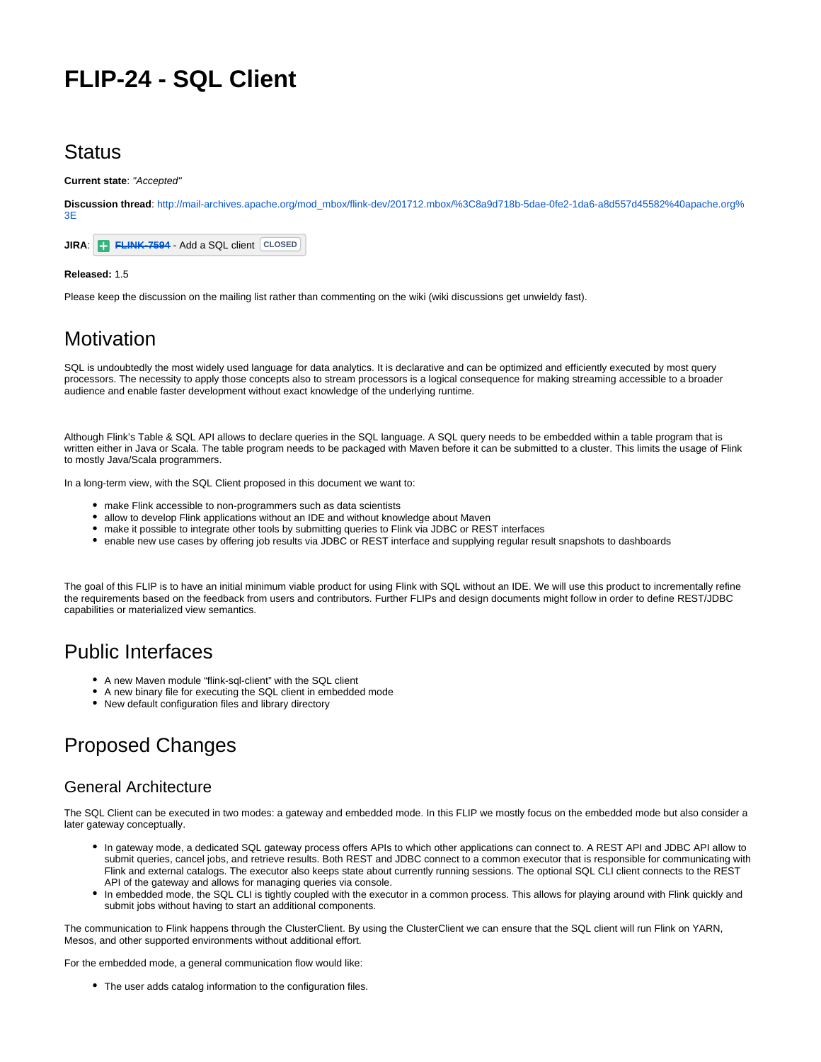# **FLIP-24 - SQL Client**

## **Status**

**Current state**: "Accepted"

**Discussion thread**: [http://mail-archives.apache.org/mod\\_mbox/flink-dev/201712.mbox/%3C8a9d718b-5dae-0fe2-1da6-a8d557d45582%40apache.org%](http://mail-archives.apache.org/mod_mbox/flink-dev/201712.mbox/%3C8a9d718b-5dae-0fe2-1da6-a8d557d45582%40apache.org%3E) [3E](http://mail-archives.apache.org/mod_mbox/flink-dev/201712.mbox/%3C8a9d718b-5dae-0fe2-1da6-a8d557d45582%40apache.org%3E)



#### **Released:** 1.5

Please keep the discussion on the mailing list rather than commenting on the wiki (wiki discussions get unwieldy fast).

# **Motivation**

SQL is undoubtedly the most widely used language for data analytics. It is declarative and can be optimized and efficiently executed by most query processors. The necessity to apply those concepts also to stream processors is a logical consequence for making streaming accessible to a broader audience and enable faster development without exact knowledge of the underlying runtime.

Although Flink's Table & SQL API allows to declare queries in the SQL language. A SQL query needs to be embedded within a table program that is written either in Java or Scala. The table program needs to be packaged with Maven before it can be submitted to a cluster. This limits the usage of Flink to mostly Java/Scala programmers.

In a long-term view, with the SQL Client proposed in this document we want to:

- make Flink accessible to non-programmers such as data scientists
- allow to develop Flink applications without an IDE and without knowledge about Maven
- make it possible to integrate other tools by submitting queries to Flink via JDBC or REST interfaces
- enable new use cases by offering job results via JDBC or REST interface and supplying regular result snapshots to dashboards

The goal of this FLIP is to have an initial minimum viable product for using Flink with SQL without an IDE. We will use this product to incrementally refine the requirements based on the feedback from users and contributors. Further FLIPs and design documents might follow in order to define REST/JDBC capabilities or materialized view semantics.

## Public Interfaces

- A new Maven module "flink-sql-client" with the SQL client
- A new binary file for executing the SQL client in embedded mode
- New default configuration files and library directory

# Proposed Changes

#### General Architecture

The SQL Client can be executed in two modes: a gateway and embedded mode. In this FLIP we mostly focus on the embedded mode but also consider a later gateway conceptually.

- In gateway mode, a dedicated SQL gateway process offers APIs to which other applications can connect to. A REST API and JDBC API allow to submit queries, cancel jobs, and retrieve results. Both REST and JDBC connect to a common executor that is responsible for communicating with Flink and external catalogs. The executor also keeps state about currently running sessions. The optional SQL CLI client connects to the REST API of the gateway and allows for managing queries via console.
- In embedded mode, the SQL CLI is tightly coupled with the executor in a common process. This allows for playing around with Flink quickly and submit jobs without having to start an additional components.

The communication to Flink happens through the ClusterClient. By using the ClusterClient we can ensure that the SQL client will run Flink on YARN, Mesos, and other supported environments without additional effort.

For the embedded mode, a general communication flow would like:

The user adds catalog information to the configuration files.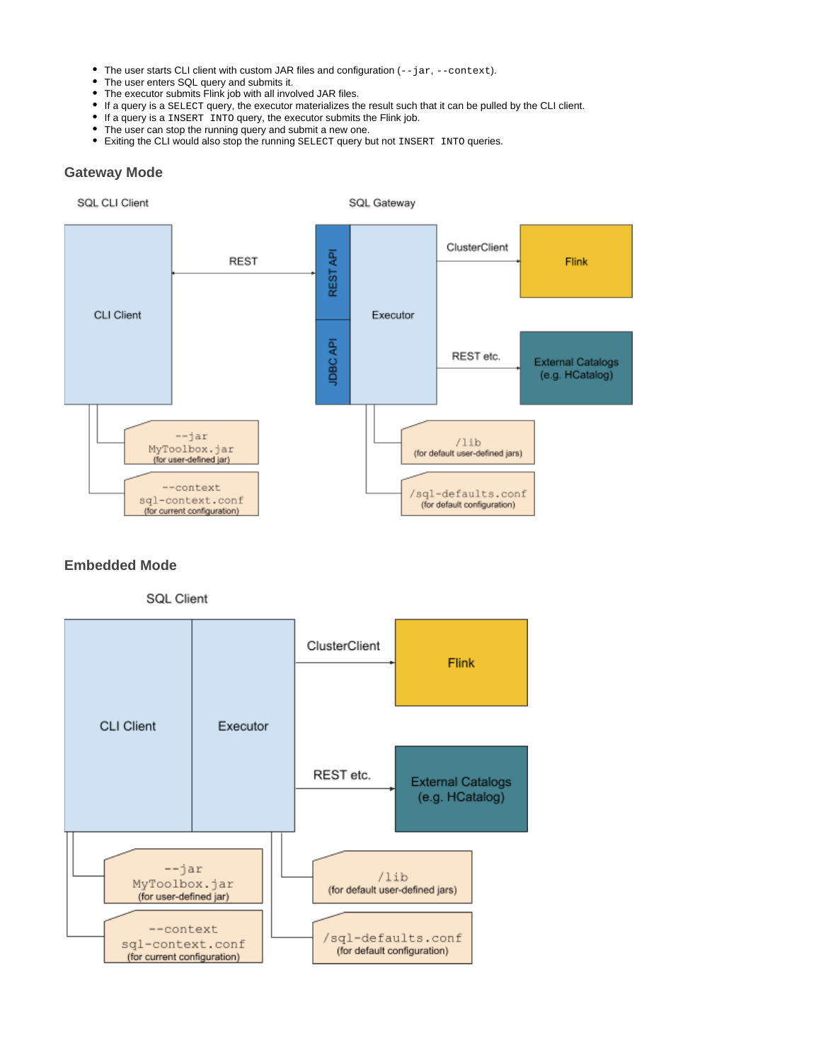- The user starts CLI client with custom JAR files and configuration (--jar, --context).
- The user enters SQL query and submits it.
- The executor submits Flink job with all involved JAR files.
- If a query is a SELECT query, the executor materializes the result such that it can be pulled by the CLI client.
- If a query is a INSERT INTO query, the executor submits the Flink job.
- The user can stop the running query and submit a new one.
- Exiting the CLI would also stop the running SELECT query but not INSERT INTO queries.

#### **Gateway Mode**



#### **Embedded Mode**



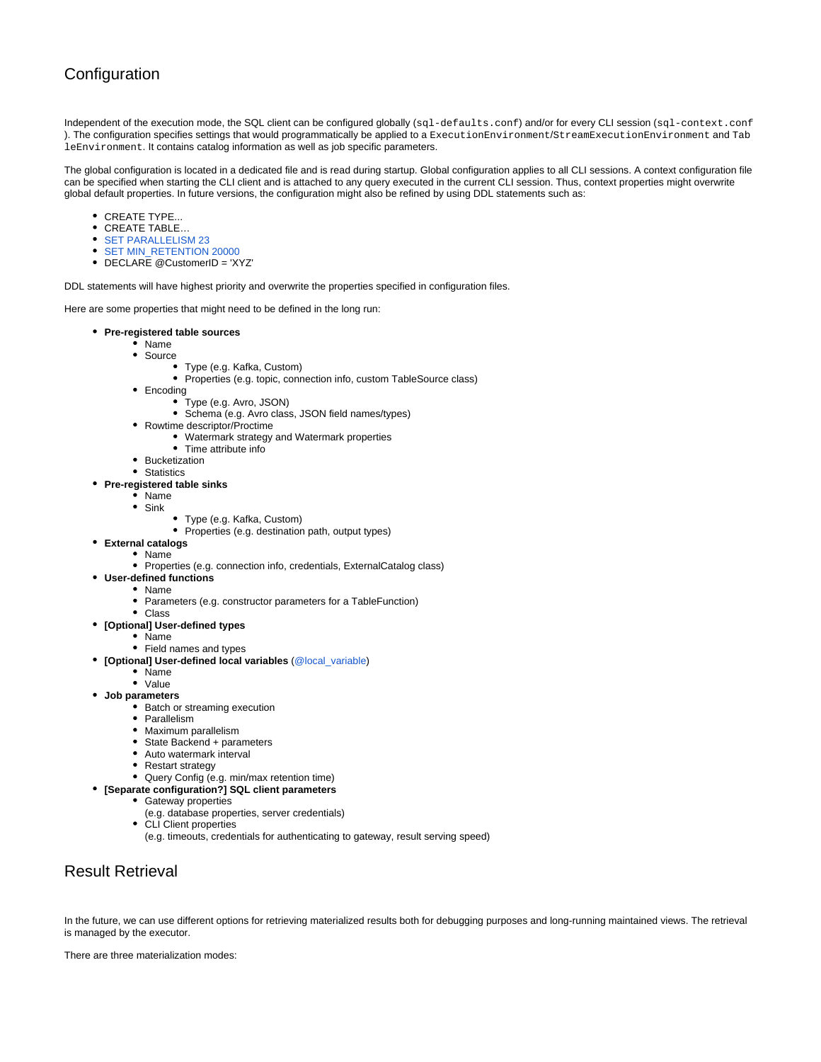## **Configuration**

Independent of the execution mode, the SQL client can be configured globally (sql-defaults.conf) and/or for every CLI session (sql-context.conf) ). The configuration specifies settings that would programmatically be applied to a ExecutionEnvironment/StreamExecutionEnvironment and Tab leEnvironment. It contains catalog information as well as job specific parameters.

The global configuration is located in a dedicated file and is read during startup. Global configuration applies to all CLI sessions. A context configuration file can be specified when starting the CLI client and is attached to any query executed in the current CLI session. Thus, context properties might overwrite global default properties. In future versions, the configuration might also be refined by using DDL statements such as:

- CREATE TYPE...
- CREATE TABLE…
- **[SET PARALLELISM 23](https://docs.microsoft.com/en-us/sql/t-sql/statements/set-statements-transact-sql)**
- [SET MIN\\_RETENTION 20000](https://docs.microsoft.com/en-us/sql/t-sql/statements/set-statements-transact-sql)
- DECLARE @CustomerID = 'XYZ'

DDL statements will have highest priority and overwrite the properties specified in configuration files.

Here are some properties that might need to be defined in the long run:

- **Pre-registered table sources**
	- Name
	- Source
		- Type (e.g. Kafka, Custom)
		- Properties (e.g. topic, connection info, custom TableSource class)
	- Encoding
		- Type (e.g. Avro, JSON)
		- Schema (e.g. Avro class, JSON field names/types)
	- Rowtime descriptor/Proctime
		- Watermark strategy and Watermark properties
		- Time attribute info
	- Bucketization
	- Statistics

#### **Pre-registered table sinks**

- Name
- $\bullet$  Sink
	- $\bullet$ Type (e.g. Kafka, Custom)
	- Properties (e.g. destination path, output types)
- **External catalogs**
	- Name
		- Properties (e.g. connection info, credentials, ExternalCatalog class)
- **User-defined functions**
	- Name
		- Parameters (e.g. constructor parameters for a TableFunction)
- Class
- **[Optional] User-defined types**
	- Name • Field names and types
- **[Optional] User-defined local variables** ([@local\\_variable](https://docs.microsoft.com/en-us/sql/t-sql/language-elements/variables-transact-sql))
	- Name
	- Value
- **Job parameters**
	- Batch or streaming execution
	- Parallelism
	- Maximum parallelism
	- State Backend + parameters
	- Auto watermark interval
	- Restart strategy
	- Query Config (e.g. min/max retention time)
- **[Separate configuration?] SQL client parameters**
	- Gateway properties
		- (e.g. database properties, server credentials)
		- CLI Client properties
		- (e.g. timeouts, credentials for authenticating to gateway, result serving speed)

## Result Retrieval

In the future, we can use different options for retrieving materialized results both for debugging purposes and long-running maintained views. The retrieval is managed by the executor.

There are three materialization modes: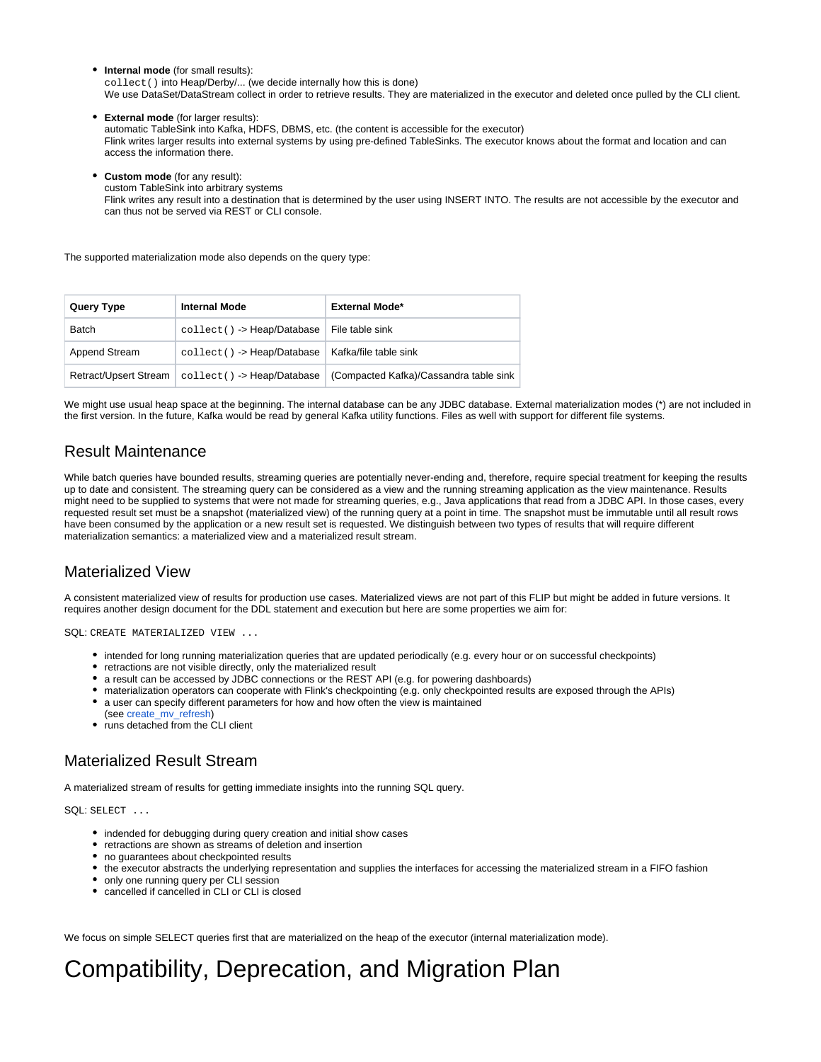**Internal mode** (for small results): collect() into Heap/Derby/... (we decide internally how this is done) We use DataSet/DataStream collect in order to retrieve results. They are materialized in the executor and deleted once pulled by the CLI client.

**External mode** (for larger results): automatic TableSink into Kafka, HDFS, DBMS, etc. (the content is accessible for the executor) Flink writes larger results into external systems by using pre-defined TableSinks. The executor knows about the format and location and can access the information there.

**Custom mode** (for any result):

custom TableSink into arbitrary systems

Flink writes any result into a destination that is determined by the user using INSERT INTO. The results are not accessible by the executor and can thus not be served via REST or CLI console.

The supported materialization mode also depends on the query type:

| Query Type            | <b>Internal Mode</b>                                       | <b>External Mode*</b>                  |
|-----------------------|------------------------------------------------------------|----------------------------------------|
| Batch                 | collect() -> Heap/Database   File table sink               |                                        |
| Append Stream         | collect() -> Heap/Database   Kafka/file table sink         |                                        |
| Retract/Upsert Stream | $\text{collect}() \rightarrow \text{Heap}/\text{Database}$ | (Compacted Kafka)/Cassandra table sink |

We might use usual heap space at the beginning. The internal database can be any JDBC database. External materialization modes (\*) are not included in the first version. In the future, Kafka would be read by general Kafka utility functions. Files as well with support for different file systems.

#### Result Maintenance

While batch queries have bounded results, streaming queries are potentially never-ending and, therefore, require special treatment for keeping the results up to date and consistent. The streaming query can be considered as a view and the running streaming application as the view maintenance. Results might need to be supplied to systems that were not made for streaming queries, e.g., Java applications that read from a JDBC API. In those cases, every requested result set must be a snapshot (materialized view) of the running query at a point in time. The snapshot must be immutable until all result rows have been consumed by the application or a new result set is requested. We distinguish between two types of results that will require different materialization semantics: a materialized view and a materialized result stream.

## Materialized View

A consistent materialized view of results for production use cases. Materialized views are not part of this FLIP but might be added in future versions. It requires another design document for the DDL statement and execution but here are some properties we aim for:

SQL: CREATE MATERIALIZED VIEW ...

- intended for long running materialization queries that are updated periodically (e.g. every hour or on successful checkpoints)
- retractions are not visible directly, only the materialized result
- a result can be accessed by JDBC connections or the REST API (e.g. for powering dashboards)
- materialization operators can cooperate with Flink's checkpointing (e.g. only checkpointed results are exposed through the APIs)
- a user can specify different parameters for how and how often the view is maintained
- (see [create\\_mv\\_refresh](https://docs.oracle.com/cd/B19306_01/server.102/b14200/statements_6002.htm#i2064161))
- runs detached from the CLI client

## Materialized Result Stream

A materialized stream of results for getting immediate insights into the running SQL query.

SQL: SELECT ...

- indended for debugging during query creation and initial show cases
- retractions are shown as streams of deletion and insertion
- no guarantees about checkpointed results
- the executor abstracts the underlying representation and supplies the interfaces for accessing the materialized stream in a FIFO fashion
- only one running query per CLI session
- cancelled if cancelled in CLI or CLI is closed

We focus on simple SELECT queries first that are materialized on the heap of the executor (internal materialization mode).

# Compatibility, Deprecation, and Migration Plan